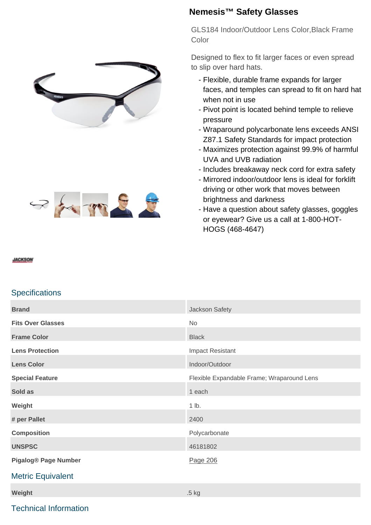



## **Nemesis™ Safety Glasses**

GLS184 Indoor/Outdoor Lens Color,Black Frame Color

Designed to flex to fit larger faces or even spread to slip over hard hats.

- Flexible, durable frame expands for larger faces, and temples can spread to fit on hard hat when not in use
- Pivot point is located behind temple to relieve pressure
- Wraparound polycarbonate lens exceeds ANSI Z87.1 Safety Standards for impact protection
- Maximizes protection against 99.9% of harmful UVA and UVB radiation
- Includes breakaway neck cord for extra safety
- Mirrored indoor/outdoor lens is ideal for forklift driving or other work that moves between brightness and darkness
- Have a question about safety glasses, goggles or eyewear? Give us a call at 1-800-HOT-HOGS (468-4647)

### **JACKSON**

## **Specifications**

| <b>Brand</b>                | Jackson Safety                             |
|-----------------------------|--------------------------------------------|
| <b>Fits Over Glasses</b>    | No                                         |
| <b>Frame Color</b>          | <b>Black</b>                               |
| <b>Lens Protection</b>      | <b>Impact Resistant</b>                    |
| <b>Lens Color</b>           | Indoor/Outdoor                             |
| <b>Special Feature</b>      | Flexible Expandable Frame; Wraparound Lens |
| Sold as                     | 1 each                                     |
| Weight                      | 1 lb.                                      |
| # per Pallet                | 2400                                       |
| <b>Composition</b>          | Polycarbonate                              |
| <b>UNSPSC</b>               | 46181802                                   |
| <b>Pigalog® Page Number</b> | Page 206                                   |
| <b>Metric Equivalent</b>    |                                            |
| Weight                      | .5 kg                                      |

## Technical Information